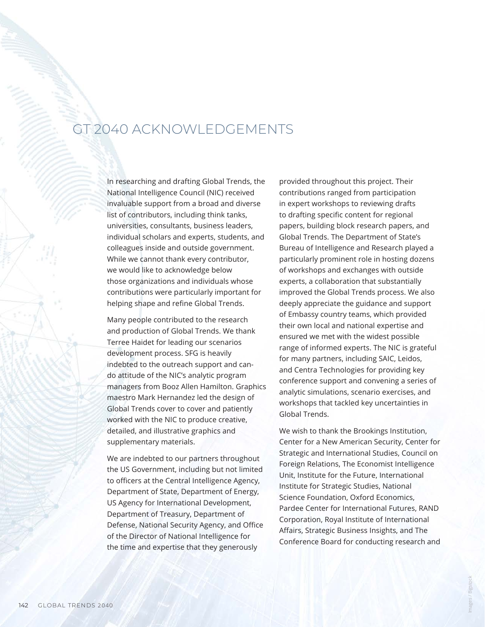## GT 2040 ACKNOWLEDGEMENTS

In researching and drafting Global Trends, the National Intelligence Council (NIC) received invaluable support from a broad and diverse list of contributors, including think tanks, universities, consultants, business leaders, individual scholars and experts, students, and colleagues inside and outside government. While we cannot thank every contributor, we would like to acknowledge below those organizations and individuals whose contributions were particularly important for helping shape and refine Global Trends.

Many people contributed to the research and production of Global Trends. We thank Terree Haidet for leading our scenarios development process. SFG is heavily indebted to the outreach support and cando attitude of the NIC's analytic program managers from Booz Allen Hamilton. Graphics maestro Mark Hernandez led the design of Global Trends cover to cover and patiently worked with the NIC to produce creative, detailed, and illustrative graphics and supplementary materials.

We are indebted to our partners throughout the US Government, including but not limited to officers at the Central Intelligence Agency, Department of State, Department of Energy, US Agency for International Development, Department of Treasury, Department of Defense, National Security Agency, and Office of the Director of National Intelligence for the time and expertise that they generously

provided throughout this project. Their contributions ranged from participation in expert workshops to reviewing drafts to drafting specific content for regional papers, building block research papers, and Global Trends. The Department of State's Bureau of Intelligence and Research played a particularly prominent role in hosting dozens of workshops and exchanges with outside experts, a collaboration that substantially improved the Global Trends process. We also deeply appreciate the guidance and support of Embassy country teams, which provided their own local and national expertise and ensured we met with the widest possible range of informed experts. The NIC is grateful for many partners, including SAIC, Leidos, and Centra Technologies for providing key conference support and convening a series of analytic simulations, scenario exercises, and workshops that tackled key uncertainties in Global Trends.

We wish to thank the Brookings Institution, Center for a New American Security, Center for Strategic and International Studies, Council on Foreign Relations, The Economist Intelligence Unit, Institute for the Future, International Institute for Strategic Studies, National Science Foundation, Oxford Economics, Pardee Center for International Futures, RAND Corporation, Royal Institute of International Affairs, Strategic Business Insights, and The Conference Board for conducting research and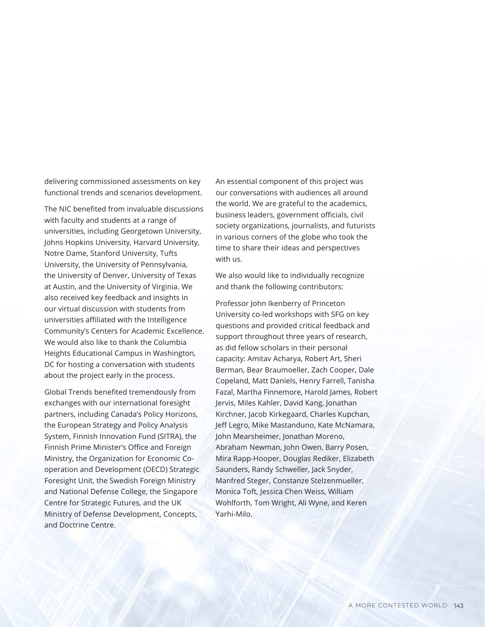delivering commissioned assessments on key functional trends and scenarios development.

The NIC benefited from invaluable discussions with faculty and students at a range of universities, including Georgetown University, Johns Hopkins University, Harvard University, Notre Dame, Stanford University, Tufts University, the University of Pennsylvania, the University of Denver, University of Texas at Austin, and the University of Virginia. We also received key feedback and insights in our virtual discussion with students from universities affiliated with the Intelligence Community's Centers for Academic Excellence. We would also like to thank the Columbia Heights Educational Campus in Washington, DC for hosting a conversation with students about the project early in the process.

Global Trends benefited tremendously from exchanges with our international foresight partners, including Canada's Policy Horizons, the European Strategy and Policy Analysis System, Finnish Innovation Fund (SITRA), the Finnish Prime Minister's Office and Foreign Ministry, the Organization for Economic Cooperation and Development (OECD) Strategic Foresight Unit, the Swedish Foreign Ministry and National Defense College, the Singapore Centre for Strategic Futures, and the UK Ministry of Defense Development, Concepts, and Doctrine Centre.

An essential component of this project was our conversations with audiences all around the world. We are grateful to the academics, business leaders, government officials, civil society organizations, journalists, and futurists in various corners of the globe who took the time to share their ideas and perspectives with us.

We also would like to individually recognize and thank the following contributors:

Professor John Ikenberry of Princeton University co-led workshops with SFG on key questions and provided critical feedback and support throughout three years of research, as did fellow scholars in their personal capacity: Amitav Acharya, Robert Art, Sheri Berman, Bear Braumoeller, Zach Cooper, Dale Copeland, Matt Daniels, Henry Farrell, Tanisha Fazal, Martha Finnemore, Harold James, Robert Jervis, Miles Kahler, David Kang, Jonathan Kirchner, Jacob Kirkegaard, Charles Kupchan, Jeff Legro, Mike Mastanduno, Kate McNamara, John Mearsheimer, Jonathan Moreno, Abraham Newman, John Owen, Barry Posen, Mira Rapp-Hooper, Douglas Rediker, Elizabeth Saunders, Randy Schweller, Jack Snyder, Manfred Steger, Constanze Stelzenmueller, Monica Toft, Jessica Chen Weiss, William Wohlforth, Tom Wright, Ali Wyne, and Keren Yarhi-Milo.